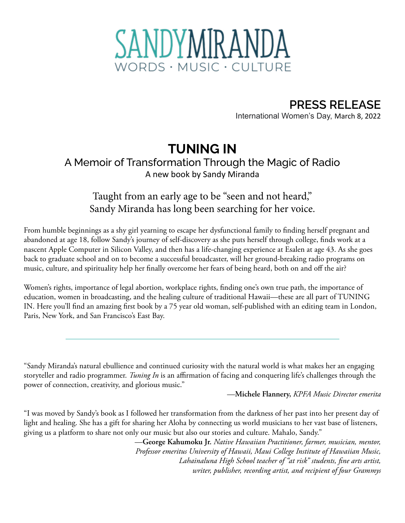

**PRESS RELEASE** International Women's Day, March 8, 2022

## **TUNING IN**

## A Memoir of Transformation Through the Magic of Radio A new book by Sandy Miranda

## Taught from an early age to be "seen and not heard," Sandy Miranda has long been searching for her voice.

From humble beginnings as a shy girl yearning to escape her dysfunctional family to finding herself pregnant and abandoned at age 18, follow Sandy's journey of self-discovery as she puts herself through college, finds work at a nascent Apple Computer in Silicon Valley, and then has a life-changing experience at Esalen at age 43. As she goes back to graduate school and on to become a successful broadcaster, will her ground-breaking radio programs on music, culture, and spirituality help her finally overcome her fears of being heard, both on and off the air?

Women's rights, importance of legal abortion, workplace rights, finding one's own true path, the importance of education, women in broadcasting, and the healing culture of traditional Hawaii—these are all part of TUNING IN. Here you'll find an amazing first book by a 75 year old woman, self-published with an editing team in London, Paris, New York, and San Francisco's East Bay.

"Sandy Miranda's natural ebullience and continued curiosity with the natural world is what makes her an engaging storyteller and radio programmer. *Tuning In* is an affirmation of facing and conquering life's challenges through the power of connection, creativity, and glorious music."

—**Michele Flannery,** *KPFA Music Director emerita*

"I was moved by Sandy's book as I followed her transformation from the darkness of her past into her present day of light and healing. She has a gift for sharing her Aloha by connecting us world musicians to her vast base of listeners, giving us a platform to share not only our music but also our stories and culture. Mahalo, Sandy."

> —**George Kahumoku Jr.** *Native Hawaiian Practitioner, farmer, musician, mentor, Professor emeritus University of Hawaii, Maui College Institute of Hawaiian Music, Lahainaluna High School teacher of "at risk" students, fine arts artist, writer, publisher, recording artist, and recipient of four Grammys*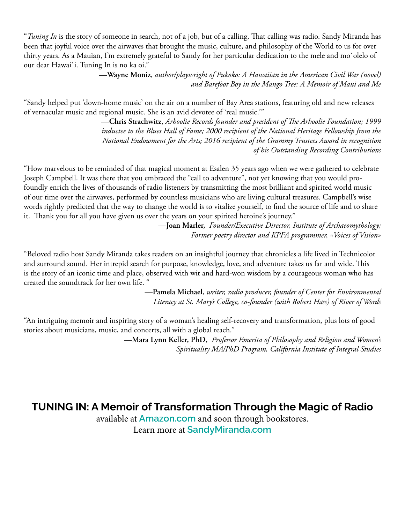"*Tuning In* is the story of someone in search, not of a job, but of a calling. That calling was radio. Sandy Miranda has been that joyful voice over the airwaves that brought the music, culture, and philosophy of the World to us for over thirty years. As a Mauian, I'm extremely grateful to Sandy for her particular dedication to the mele and mo`olelo of our dear Hawai`i. Tuning In is no ka oi."

> —**Wayne Moniz**, *author/playwright of Pukoko: A Hawaiian in the American Civil War (novel) and Barefoot Boy in the Mango Tree: A Memoir of Maui and Me*

"Sandy helped put 'down-home music' on the air on a number of Bay Area stations, featuring old and new releases of vernacular music and regional music. She is an avid devotee of 'real music.'"

> —**Chris Strachwitz**, *Arhoolie Records founder and president of The Arhoolie Foundation; 1999 inductee to the Blues Hall of Fame; 2000 recipient of the National Heritage Fellowship from the National Endowment for the Arts; 2016 recipient of the Grammy Trustees Award in recognition of his Outstanding Recording Contributions*

"How marvelous to be reminded of that magical moment at Esalen 35 years ago when we were gathered to celebrate Joseph Campbell. It was there that you embraced the "call to adventure", not yet knowing that you would profoundly enrich the lives of thousands of radio listeners by transmitting the most brilliant and spirited world music of our time over the airwaves, performed by countless musicians who are living cultural treasures. Campbell's wise words rightly predicted that the way to change the world is to vitalize yourself, to find the source of life and to share it. Thank you for all you have given us over the years on your spirited heroine's journey."

> —**Joan Marler,** *Founder/Executive Director, Institute of Archaeomythology; Former poetry director and KPFA programmer, «Voices of Vision»*

"Beloved radio host Sandy Miranda takes readers on an insightful journey that chronicles a life lived in Technicolor and surround sound. Her intrepid search for purpose, knowledge, love, and adventure takes us far and wide. This is the story of an iconic time and place, observed with wit and hard-won wisdom by a courageous woman who has created the soundtrack for her own life. "

> —**Pamela Michael**, *writer, radio producer, founder of Center for Environmental Literacy at St. Mary's College, co-founder (with Robert Hass) of River of Words*

"An intriguing memoir and inspiring story of a woman's healing self-recovery and transformation, plus lots of good stories about musicians, music, and concerts, all with a global reach."

> —**Mara Lynn Keller, PhD**, *Professor Emerita of Philosophy and Religion and Women's Spirituality MA/PhD Program, California Institute of Integral Studies*

## **TUNING IN: A Memoir of Transformation Through the Magic of Radio**

available at **[Amazon.com](https://www.amazon.com/dp/B09TMWLW2D?ref_=pe_3052080_397514860)** and soon through bookstores. Learn more at **[SandyMiranda.com](http://sandymiranda.com)**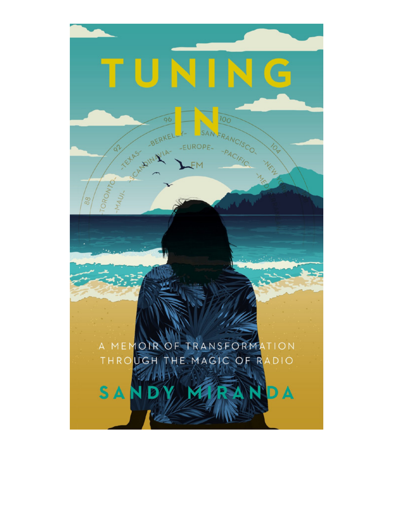